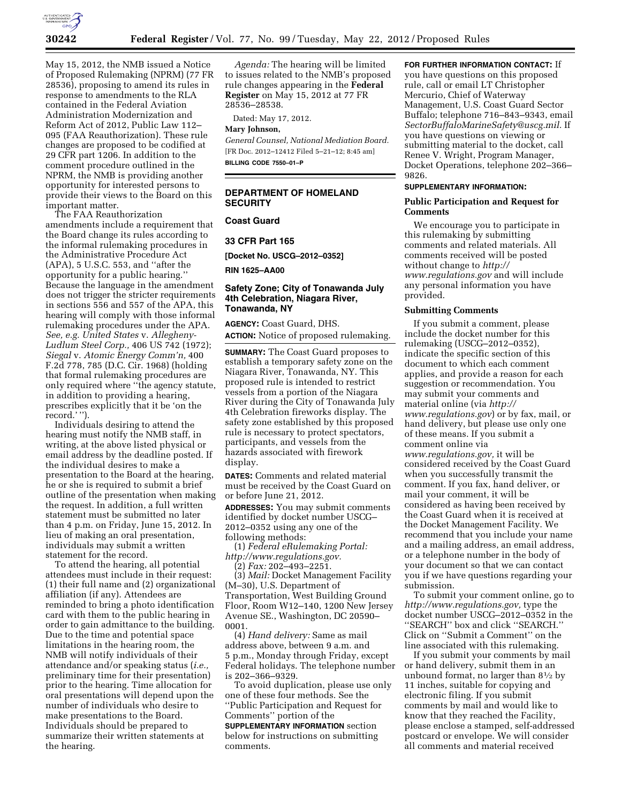

May 15, 2012, the NMB issued a Notice of Proposed Rulemaking (NPRM) (77 FR 28536), proposing to amend its rules in response to amendments to the RLA contained in the Federal Aviation Administration Modernization and Reform Act of 2012, Public Law 112– 095 (FAA Reauthorization). These rule changes are proposed to be codified at 29 CFR part 1206. In addition to the comment procedure outlined in the NPRM, the NMB is providing another opportunity for interested persons to provide their views to the Board on this important matter.

The FAA Reauthorization amendments include a requirement that the Board change its rules according to the informal rulemaking procedures in the Administrative Procedure Act (APA), 5 U.S.C. 553, and ''after the opportunity for a public hearing.'' Because the language in the amendment does not trigger the stricter requirements in sections 556 and 557 of the APA, this hearing will comply with those informal rulemaking procedures under the APA. *See, e.g. United States* v. *Allegheny-Ludlum Steel Corp.,* 406 US 742 (1972); *Siegal* v. *Atomic Energy Comm'n,* 400 F.2d 778, 785 (D.C. Cir. 1968) (holding that formal rulemaking procedures are only required where ''the agency statute, in addition to providing a hearing, prescribes explicitly that it be 'on the record.' '').

Individuals desiring to attend the hearing must notify the NMB staff, in writing, at the above listed physical or email address by the deadline posted. If the individual desires to make a presentation to the Board at the hearing, he or she is required to submit a brief outline of the presentation when making the request. In addition, a full written statement must be submitted no later than 4 p.m. on Friday, June 15, 2012. In lieu of making an oral presentation, individuals may submit a written statement for the record.

To attend the hearing, all potential attendees must include in their request: (1) their full name and (2) organizational affiliation (if any). Attendees are reminded to bring a photo identification card with them to the public hearing in order to gain admittance to the building. Due to the time and potential space limitations in the hearing room, the NMB will notify individuals of their attendance and/or speaking status (*i.e.,*  preliminary time for their presentation) prior to the hearing. Time allocation for oral presentations will depend upon the number of individuals who desire to make presentations to the Board. Individuals should be prepared to summarize their written statements at the hearing.

*Agenda:* The hearing will be limited to issues related to the NMB's proposed rule changes appearing in the **Federal Register** on May 15, 2012 at 77 FR 28536–28538.

Dated: May 17, 2012.

**Mary Johnson,** 

*General Counsel, National Mediation Board.*  [FR Doc. 2012–12412 Filed 5–21–12; 8:45 am] **BILLING CODE 7550–01–P** 

# **DEPARTMENT OF HOMELAND SECURITY**

## **Coast Guard**

**33 CFR Part 165** 

**[Docket No. USCG–2012–0352]** 

**RIN 1625–AA00** 

## **Safety Zone; City of Tonawanda July 4th Celebration, Niagara River, Tonawanda, NY**

**AGENCY:** Coast Guard, DHS. **ACTION:** Notice of proposed rulemaking.

**SUMMARY:** The Coast Guard proposes to establish a temporary safety zone on the Niagara River, Tonawanda, NY. This proposed rule is intended to restrict vessels from a portion of the Niagara River during the City of Tonawanda July 4th Celebration fireworks display. The safety zone established by this proposed rule is necessary to protect spectators, participants, and vessels from the hazards associated with firework display.

**DATES:** Comments and related material must be received by the Coast Guard on or before June 21, 2012.

**ADDRESSES:** You may submit comments identified by docket number USCG– 2012–0352 using any one of the following methods:

(1) *Federal eRulemaking Portal: [http://www.regulations.gov.](http://www.regulations.gov)* 

(2) *Fax:* 202–493–2251.

(3) *Mail:* Docket Management Facility (M–30), U.S. Department of Transportation, West Building Ground Floor, Room W12–140, 1200 New Jersey Avenue SE., Washington, DC 20590– 0001.

(4) *Hand delivery:* Same as mail address above, between 9 a.m. and 5 p.m., Monday through Friday, except Federal holidays. The telephone number is 202–366–9329.

To avoid duplication, please use only one of these four methods. See the ''Public Participation and Request for Comments'' portion of the

**SUPPLEMENTARY INFORMATION** section below for instructions on submitting comments.

### **FOR FURTHER INFORMATION CONTACT:** If

you have questions on this proposed rule, call or email LT Christopher Mercurio, Chief of Waterway Management, U.S. Coast Guard Sector Buffalo; telephone 716–843–9343, email *[SectorBuffaloMarineSafety@uscg.mil.](mailto:SectorBuffaloMarineSafety@uscg.mil)* If you have questions on viewing or submitting material to the docket, call Renee V. Wright, Program Manager, Docket Operations, telephone 202–366– 9826.

## **SUPPLEMENTARY INFORMATION:**

## **Public Participation and Request for Comments**

We encourage you to participate in this rulemaking by submitting comments and related materials. All comments received will be posted without change to *[http://](http://www.regulations.gov) [www.regulations.gov](http://www.regulations.gov)* and will include any personal information you have provided.

#### **Submitting Comments**

If you submit a comment, please include the docket number for this rulemaking (USCG–2012–0352), indicate the specific section of this document to which each comment applies, and provide a reason for each suggestion or recommendation. You may submit your comments and material online (via *[http://](http://www.regulations.gov)  [www.regulations.gov](http://www.regulations.gov)*) or by fax, mail, or hand delivery, but please use only one of these means. If you submit a comment online via *[www.regulations.gov,](http://www.regulations.gov)* it will be considered received by the Coast Guard when you successfully transmit the comment. If you fax, hand deliver, or mail your comment, it will be considered as having been received by the Coast Guard when it is received at the Docket Management Facility. We recommend that you include your name and a mailing address, an email address, or a telephone number in the body of your document so that we can contact you if we have questions regarding your submission.

To submit your comment online, go to *[http://www.regulations.gov,](http://www.regulations.gov)* type the docket number USCG–2012–0352 in the ''SEARCH'' box and click ''SEARCH.'' Click on ''Submit a Comment'' on the line associated with this rulemaking.

If you submit your comments by mail or hand delivery, submit them in an unbound format, no larger than 81⁄2 by 11 inches, suitable for copying and electronic filing. If you submit comments by mail and would like to know that they reached the Facility, please enclose a stamped, self-addressed postcard or envelope. We will consider all comments and material received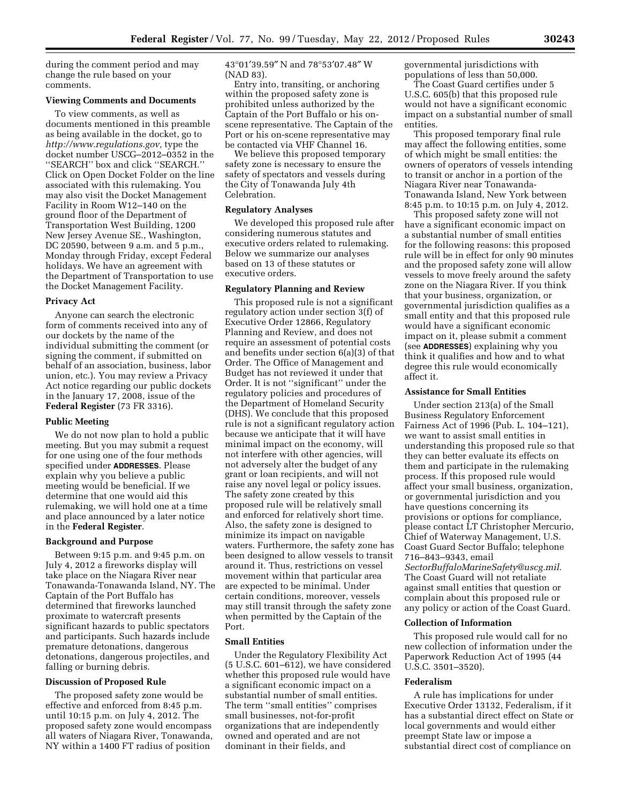during the comment period and may change the rule based on your comments.

#### **Viewing Comments and Documents**

To view comments, as well as documents mentioned in this preamble as being available in the docket, go to *[http://www.regulations.gov,](http://www.regulations.gov)* type the docket number USCG–2012–0352 in the ''SEARCH'' box and click ''SEARCH.'' Click on Open Docket Folder on the line associated with this rulemaking. You may also visit the Docket Management Facility in Room W12–140 on the ground floor of the Department of Transportation West Building, 1200 New Jersey Avenue SE., Washington, DC 20590, between 9 a.m. and 5 p.m., Monday through Friday, except Federal holidays. We have an agreement with the Department of Transportation to use the Docket Management Facility.

#### **Privacy Act**

Anyone can search the electronic form of comments received into any of our dockets by the name of the individual submitting the comment (or signing the comment, if submitted on behalf of an association, business, labor union, etc.). You may review a Privacy Act notice regarding our public dockets in the January 17, 2008, issue of the **Federal Register** (73 FR 3316).

#### **Public Meeting**

We do not now plan to hold a public meeting. But you may submit a request for one using one of the four methods specified under **ADDRESSES**. Please explain why you believe a public meeting would be beneficial. If we determine that one would aid this rulemaking, we will hold one at a time and place announced by a later notice in the **Federal Register**.

#### **Background and Purpose**

Between 9:15 p.m. and 9:45 p.m. on July 4, 2012 a fireworks display will take place on the Niagara River near Tonawanda-Tonawanda Island, NY. The Captain of the Port Buffalo has determined that fireworks launched proximate to watercraft presents significant hazards to public spectators and participants. Such hazards include premature detonations, dangerous detonations, dangerous projectiles, and falling or burning debris.

### **Discussion of Proposed Rule**

The proposed safety zone would be effective and enforced from 8:45 p.m. until 10:15 p.m. on July 4, 2012. The proposed safety zone would encompass all waters of Niagara River, Tonawanda, NY within a 1400 FT radius of position

43°01′39.59″ N and 78°53′07.48″ W (NAD 83).

Entry into, transiting, or anchoring within the proposed safety zone is prohibited unless authorized by the Captain of the Port Buffalo or his onscene representative. The Captain of the Port or his on-scene representative may be contacted via VHF Channel 16.

We believe this proposed temporary safety zone is necessary to ensure the safety of spectators and vessels during the City of Tonawanda July 4th Celebration.

# **Regulatory Analyses**

We developed this proposed rule after considering numerous statutes and executive orders related to rulemaking. Below we summarize our analyses based on 13 of these statutes or executive orders.

### **Regulatory Planning and Review**

This proposed rule is not a significant regulatory action under section 3(f) of Executive Order 12866, Regulatory Planning and Review, and does not require an assessment of potential costs and benefits under section 6(a)(3) of that Order. The Office of Management and Budget has not reviewed it under that Order. It is not ''significant'' under the regulatory policies and procedures of the Department of Homeland Security (DHS). We conclude that this proposed rule is not a significant regulatory action because we anticipate that it will have minimal impact on the economy, will not interfere with other agencies, will not adversely alter the budget of any grant or loan recipients, and will not raise any novel legal or policy issues. The safety zone created by this proposed rule will be relatively small and enforced for relatively short time. Also, the safety zone is designed to minimize its impact on navigable waters. Furthermore, the safety zone has been designed to allow vessels to transit around it. Thus, restrictions on vessel movement within that particular area are expected to be minimal. Under certain conditions, moreover, vessels may still transit through the safety zone when permitted by the Captain of the Port.

# **Small Entities**

Under the Regulatory Flexibility Act (5 U.S.C. 601–612), we have considered whether this proposed rule would have a significant economic impact on a substantial number of small entities. The term ''small entities'' comprises small businesses, not-for-profit organizations that are independently owned and operated and are not dominant in their fields, and

governmental jurisdictions with populations of less than 50,000.

The Coast Guard certifies under 5 U.S.C. 605(b) that this proposed rule would not have a significant economic impact on a substantial number of small entities.

This proposed temporary final rule may affect the following entities, some of which might be small entities: the owners of operators of vessels intending to transit or anchor in a portion of the Niagara River near Tonawanda-Tonawanda Island, New York between 8:45 p.m. to 10:15 p.m. on July 4, 2012.

This proposed safety zone will not have a significant economic impact on a substantial number of small entities for the following reasons: this proposed rule will be in effect for only 90 minutes and the proposed safety zone will allow vessels to move freely around the safety zone on the Niagara River. If you think that your business, organization, or governmental jurisdiction qualifies as a small entity and that this proposed rule would have a significant economic impact on it, please submit a comment (see **ADDRESSES**) explaining why you think it qualifies and how and to what degree this rule would economically affect it.

# **Assistance for Small Entities**

Under section 213(a) of the Small Business Regulatory Enforcement Fairness Act of 1996 (Pub. L. 104–121), we want to assist small entities in understanding this proposed rule so that they can better evaluate its effects on them and participate in the rulemaking process. If this proposed rule would affect your small business, organization, or governmental jurisdiction and you have questions concerning its provisions or options for compliance, please contact LT Christopher Mercurio, Chief of Waterway Management, U.S. Coast Guard Sector Buffalo; telephone 716–843–9343, email *[SectorBuffaloMarineSafety@uscg.mil.](mailto:SectorBuffaloMarineSafety@uscg.mil)*  The Coast Guard will not retaliate against small entities that question or complain about this proposed rule or any policy or action of the Coast Guard.

## **Collection of Information**

This proposed rule would call for no new collection of information under the Paperwork Reduction Act of 1995 (44 U.S.C. 3501–3520).

#### **Federalism**

A rule has implications for under Executive Order 13132, Federalism, if it has a substantial direct effect on State or local governments and would either preempt State law or impose a substantial direct cost of compliance on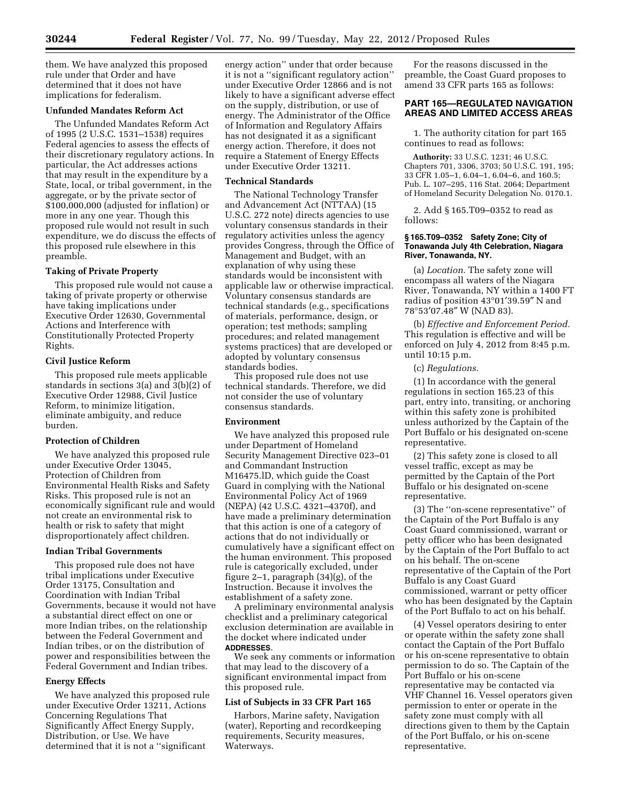them. We have analyzed this proposed rule under that Order and have determined that it does not have implications for federalism.

# **Unfunded Mandates Reform Act**

The Unfunded Mandates Reform Act of 1995 (2 U.S.C. 1531–1538) requires Federal agencies to assess the effects of their discretionary regulatory actions. In particular, the Act addresses actions that may result in the expenditure by a State, local, or tribal government, in the aggregate, or by the private sector of \$100,000,000 (adjusted for inflation) or more in any one year. Though this proposed rule would not result in such expenditure, we do discuss the effects of this proposed rule elsewhere in this preamble.

# **Taking of Private Property**

This proposed rule would not cause a taking of private property or otherwise have taking implications under Executive Order 12630, Governmental Actions and Interference with Constitutionally Protected Property Rights.

### **Civil Justice Reform**

This proposed rule meets applicable standards in sections 3(a) and 3(b)(2) of Executive Order 12988, Civil Justice Reform, to minimize litigation, eliminate ambiguity, and reduce burden.

# **Protection of Children**

We have analyzed this proposed rule under Executive Order 13045, Protection of Children from Environmental Health Risks and Safety Risks. This proposed rule is not an economically significant rule and would not create an environmental risk to health or risk to safety that might disproportionately affect children.

# **Indian Tribal Governments**

This proposed rule does not have tribal implications under Executive Order 13175, Consultation and Coordination with Indian Tribal Governments, because it would not have a substantial direct effect on one or more Indian tribes, on the relationship between the Federal Government and Indian tribes, or on the distribution of power and responsibilities between the Federal Government and Indian tribes.

#### **Energy Effects**

We have analyzed this proposed rule under Executive Order 13211, Actions Concerning Regulations That Significantly Affect Energy Supply, Distribution, or Use. We have determined that it is not a ''significant

energy action'' under that order because it is not a ''significant regulatory action'' under Executive Order 12866 and is not likely to have a significant adverse effect on the supply, distribution, or use of energy. The Administrator of the Office of Information and Regulatory Affairs has not designated it as a significant energy action. Therefore, it does not require a Statement of Energy Effects under Executive Order 13211.

#### **Technical Standards**

The National Technology Transfer and Advancement Act (NTTAA) (15 U.S.C. 272 note) directs agencies to use voluntary consensus standards in their regulatory activities unless the agency provides Congress, through the Office of Management and Budget, with an explanation of why using these standards would be inconsistent with applicable law or otherwise impractical. Voluntary consensus standards are technical standards (e.g., specifications of materials, performance, design, or operation; test methods; sampling procedures; and related management systems practices) that are developed or adopted by voluntary consensus standards bodies.

This proposed rule does not use technical standards. Therefore, we did not consider the use of voluntary consensus standards.

### **Environment**

We have analyzed this proposed rule under Department of Homeland Security Management Directive 023–01 and Commandant Instruction M16475.lD, which guide the Coast Guard in complying with the National Environmental Policy Act of 1969 (NEPA) (42 U.S.C. 4321–4370f), and have made a preliminary determination that this action is one of a category of actions that do not individually or cumulatively have a significant effect on the human environment. This proposed rule is categorically excluded, under figure 2–1, paragraph (34)(g), of the Instruction. Because it involves the establishment of a safety zone.

A preliminary environmental analysis checklist and a preliminary categorical exclusion determination are available in the docket where indicated under **ADDRESSES**.

We seek any comments or information that may lead to the discovery of a significant environmental impact from this proposed rule.

### **List of Subjects in 33 CFR Part 165**

Harbors, Marine safety, Navigation (water), Reporting and recordkeeping requirements, Security measures, Waterways.

For the reasons discussed in the preamble, the Coast Guard proposes to amend 33 CFR parts 165 as follows:

# **PART 165—REGULATED NAVIGATION AREAS AND LIMITED ACCESS AREAS**

1. The authority citation for part 165 continues to read as follows:

**Authority:** 33 U.S.C. 1231; 46 U.S.C. Chapters 701, 3306, 3703; 50 U.S.C. 191, 195; 33 CFR 1.05–1, 6.04–1, 6.04–6, and 160.5; Pub. L. 107–295, 116 Stat. 2064; Department of Homeland Security Delegation No. 0170.1.

2. Add § 165.T09–0352 to read as follows:

### **§ 165.T09–0352 Safety Zone; City of Tonawanda July 4th Celebration, Niagara River, Tonawanda, NY.**

(a) *Location.* The safety zone will encompass all waters of the Niagara River, Tonawanda, NY within a 1400 FT radius of position 43°01′39.59″ N and 78°53′07.48″ W (NAD 83).

(b) *Effective and Enforcement Period.*  This regulation is effective and will be enforced on July 4, 2012 from 8:45 p.m. until 10:15 p.m.

(c) *Regulations.* 

(1) In accordance with the general regulations in section 165.23 of this part, entry into, transiting, or anchoring within this safety zone is prohibited unless authorized by the Captain of the Port Buffalo or his designated on-scene representative.

(2) This safety zone is closed to all vessel traffic, except as may be permitted by the Captain of the Port Buffalo or his designated on-scene representative.

(3) The ''on-scene representative'' of the Captain of the Port Buffalo is any Coast Guard commissioned, warrant or petty officer who has been designated by the Captain of the Port Buffalo to act on his behalf. The on-scene representative of the Captain of the Port Buffalo is any Coast Guard commissioned, warrant or petty officer who has been designated by the Captain of the Port Buffalo to act on his behalf.

(4) Vessel operators desiring to enter or operate within the safety zone shall contact the Captain of the Port Buffalo or his on-scene representative to obtain permission to do so. The Captain of the Port Buffalo or his on-scene representative may be contacted via VHF Channel 16. Vessel operators given permission to enter or operate in the safety zone must comply with all directions given to them by the Captain of the Port Buffalo, or his on-scene representative.